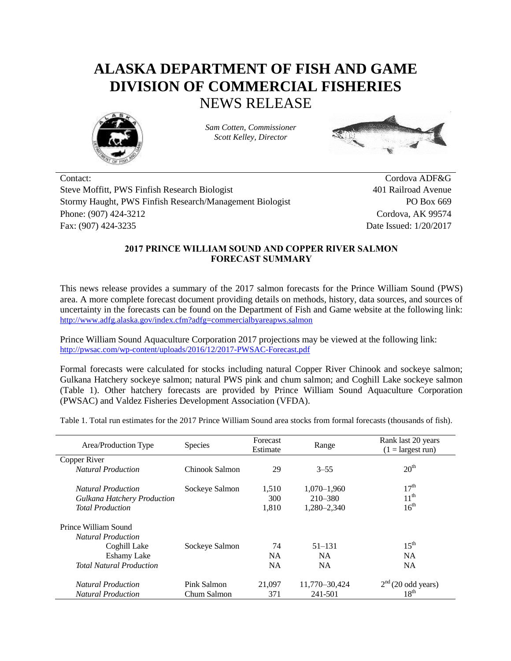## **ALASKA DEPARTMENT OF FISH AND GAME DIVISION OF COMMERCIAL FISHERIES** NEWS RELEASE



*Sam Cotten, Commissioner Scott Kelley, Director*



Contact: Cordova ADF&G Steve Moffitt, PWS Finfish Research Biologist 401 Railroad Avenue Stormy Haught, PWS Finfish Research/Management Biologist PO Box 669 Phone: (907) 424-3212 Cordova, AK 99574 Fax: (907) 424-3235 Date Issued: 1/20/2017

## **2017 PRINCE WILLIAM SOUND AND COPPER RIVER SALMON FORECAST SUMMARY**

This news release provides a summary of the 2017 salmon forecasts for the Prince William Sound (PWS) area. A more complete forecast document providing details on methods, history, data sources, and sources of uncertainty in the forecasts can be found on the Department of Fish and Game website at the following link: <http://www.adfg.alaska.gov/index.cfm?adfg=commercialbyareapws.salmon>

Prince William Sound Aquaculture Corporation 2017 projections may be viewed at the following link: <http://pwsac.com/wp-content/uploads/2016/12/2017-PWSAC-Forecast.pdf>

Formal forecasts were calculated for stocks including natural Copper River Chinook and sockeye salmon; Gulkana Hatchery sockeye salmon; natural PWS pink and chum salmon; and Coghill Lake sockeye salmon (Table 1). Other hatchery forecasts are provided by Prince William Sound Aquaculture Corporation (PWSAC) and Valdez Fisheries Development Association (VFDA).

Table 1. Total run estimates for the 2017 Prince William Sound area stocks from formal forecasts (thousands of fish).

|                                    | <b>Species</b> | Forecast  |                 | Rank last 20 years         |  |
|------------------------------------|----------------|-----------|-----------------|----------------------------|--|
| Area/Production Type               |                | Estimate  | Range           | $(1 = \text{largest run})$ |  |
| Copper River                       |                |           |                 |                            |  |
| <b>Natural Production</b>          | Chinook Salmon | 29        | $3 - 55$        | 20 <sup>th</sup>           |  |
|                                    |                |           |                 |                            |  |
| <i>Natural Production</i>          | Sockeye Salmon | 1.510     | $1,070 - 1,960$ | 17 <sup>th</sup>           |  |
| <b>Gulkana Hatchery Production</b> |                | 300       | $210 - 380$     | $11^{th}$                  |  |
| <b>Total Production</b>            |                | 1.810     | 1.280-2.340     | 16 <sup>th</sup>           |  |
|                                    |                |           |                 |                            |  |
| Prince William Sound               |                |           |                 |                            |  |
| <b>Natural Production</b>          |                |           |                 |                            |  |
| Coghill Lake                       | Sockeye Salmon | 74        | $51 - 131$      | $15^{\text{th}}$           |  |
| <b>Eshamy Lake</b>                 |                | <b>NA</b> | <b>NA</b>       | <b>NA</b>                  |  |
| <b>Total Natural Production</b>    |                | <b>NA</b> | <b>NA</b>       | <b>NA</b>                  |  |
|                                    |                |           |                 |                            |  |
| <b>Natural Production</b>          | Pink Salmon    | 21.097    | 11,770-30,424   | $2nd$ (20 odd years)       |  |
| <b>Natural Production</b>          | Chum Salmon    | 371       | 241-501         | 18 <sup>th</sup>           |  |